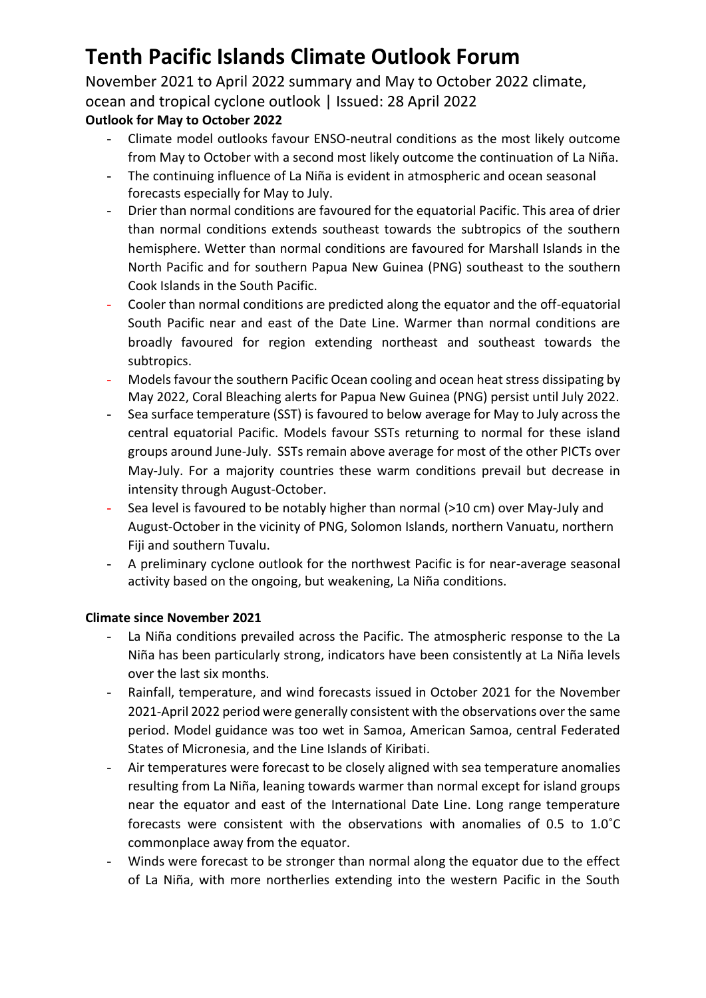November 2021 to April 2022 summary and May to October 2022 climate, ocean and tropical cyclone outlook | Issued: 28 April 2022

## **Outlook for May to October 2022**

- Climate model outlooks favour ENSO-neutral conditions as the most likely outcome from May to October with a second most likely outcome the continuation of La Niña.
- The continuing influence of La Niña is evident in atmospheric and ocean seasonal forecasts especially for May to July.
- Drier than normal conditions are favoured for the equatorial Pacific. This area of drier than normal conditions extends southeast towards the subtropics of the southern hemisphere. Wetter than normal conditions are favoured for Marshall Islands in the North Pacific and for southern Papua New Guinea (PNG) southeast to the southern Cook Islands in the South Pacific.
- Cooler than normal conditions are predicted along the equator and the off-equatorial South Pacific near and east of the Date Line. Warmer than normal conditions are broadly favoured for region extending northeast and southeast towards the subtropics.
- Models favour the southern Pacific Ocean cooling and ocean heat stress dissipating by May 2022, Coral Bleaching alerts for Papua New Guinea (PNG) persist until July 2022.
- Sea surface temperature (SST) is favoured to below average for May to July across the central equatorial Pacific. Models favour SSTs returning to normal for these island groups around June-July. SSTs remain above average for most of the other PICTs over May-July. For a majority countries these warm conditions prevail but decrease in intensity through August-October.
- Sea level is favoured to be notably higher than normal (>10 cm) over May-July and August-October in the vicinity of PNG, Solomon Islands, northern Vanuatu, northern Fiji and southern Tuvalu.
- A preliminary cyclone outlook for the northwest Pacific is for near-average seasonal activity based on the ongoing, but weakening, La Niña conditions.

### **Climate since November 2021**

- La Niña conditions prevailed across the Pacific. The atmospheric response to the La Niña has been particularly strong, indicators have been consistently at La Niña levels over the last six months.
- Rainfall, temperature, and wind forecasts issued in October 2021 for the November 2021-April 2022 period were generally consistent with the observations over the same period. Model guidance was too wet in Samoa, American Samoa, central Federated States of Micronesia, and the Line Islands of Kiribati.
- Air temperatures were forecast to be closely aligned with sea temperature anomalies resulting from La Niña, leaning towards warmer than normal except for island groups near the equator and east of the International Date Line. Long range temperature forecasts were consistent with the observations with anomalies of 0.5 to 1.0˚C commonplace away from the equator.
- Winds were forecast to be stronger than normal along the equator due to the effect of La Niña, with more northerlies extending into the western Pacific in the South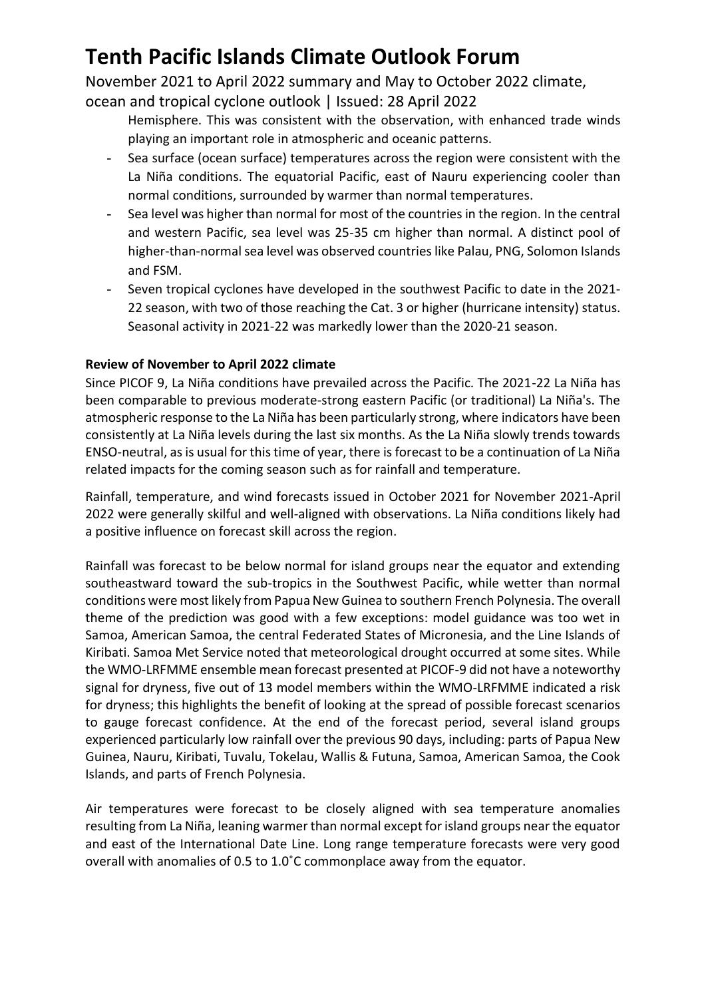November 2021 to April 2022 summary and May to October 2022 climate, ocean and tropical cyclone outlook | Issued: 28 April 2022

- Hemisphere. This was consistent with the observation, with enhanced trade winds playing an important role in atmospheric and oceanic patterns.
- Sea surface (ocean surface) temperatures across the region were consistent with the La Niña conditions. The equatorial Pacific, east of Nauru experiencing cooler than normal conditions, surrounded by warmer than normal temperatures.
- Sea level was higher than normal for most of the countries in the region. In the central and western Pacific, sea level was 25-35 cm higher than normal. A distinct pool of higher-than-normal sea level was observed countries like Palau, PNG, Solomon Islands and FSM.
- Seven tropical cyclones have developed in the southwest Pacific to date in the 2021- 22 season, with two of those reaching the Cat. 3 or higher (hurricane intensity) status. Seasonal activity in 2021-22 was markedly lower than the 2020-21 season.

### **Review of November to April 2022 climate**

Since PICOF 9, La Niña conditions have prevailed across the Pacific. The 2021-22 La Niña has been comparable to previous moderate-strong eastern Pacific (or traditional) La Niña's. The atmospheric response to the La Niña has been particularly strong, where indicators have been consistently at La Niña levels during the last six months. As the La Niña slowly trends towards ENSO-neutral, as is usual for this time of year, there is forecast to be a continuation of La Niña related impacts for the coming season such as for rainfall and temperature.

Rainfall, temperature, and wind forecasts issued in October 2021 for November 2021-April 2022 were generally skilful and well-aligned with observations. La Niña conditions likely had a positive influence on forecast skill across the region.

Rainfall was forecast to be below normal for island groups near the equator and extending southeastward toward the sub-tropics in the Southwest Pacific, while wetter than normal conditions were most likely from Papua New Guinea to southern French Polynesia. The overall theme of the prediction was good with a few exceptions: model guidance was too wet in Samoa, American Samoa, the central Federated States of Micronesia, and the Line Islands of Kiribati. Samoa Met Service noted that meteorological drought occurred at some sites. While the WMO-LRFMME ensemble mean forecast presented at PICOF-9 did not have a noteworthy signal for dryness, five out of 13 model members within the WMO-LRFMME indicated a risk for dryness; this highlights the benefit of looking at the spread of possible forecast scenarios to gauge forecast confidence. At the end of the forecast period, several island groups experienced particularly low rainfall over the previous 90 days, including: parts of Papua New Guinea, Nauru, Kiribati, Tuvalu, Tokelau, Wallis & Futuna, Samoa, American Samoa, the Cook Islands, and parts of French Polynesia.

Air temperatures were forecast to be closely aligned with sea temperature anomalies resulting from La Niña, leaning warmer than normal except for island groups near the equator and east of the International Date Line. Long range temperature forecasts were very good overall with anomalies of 0.5 to 1.0˚C commonplace away from the equator.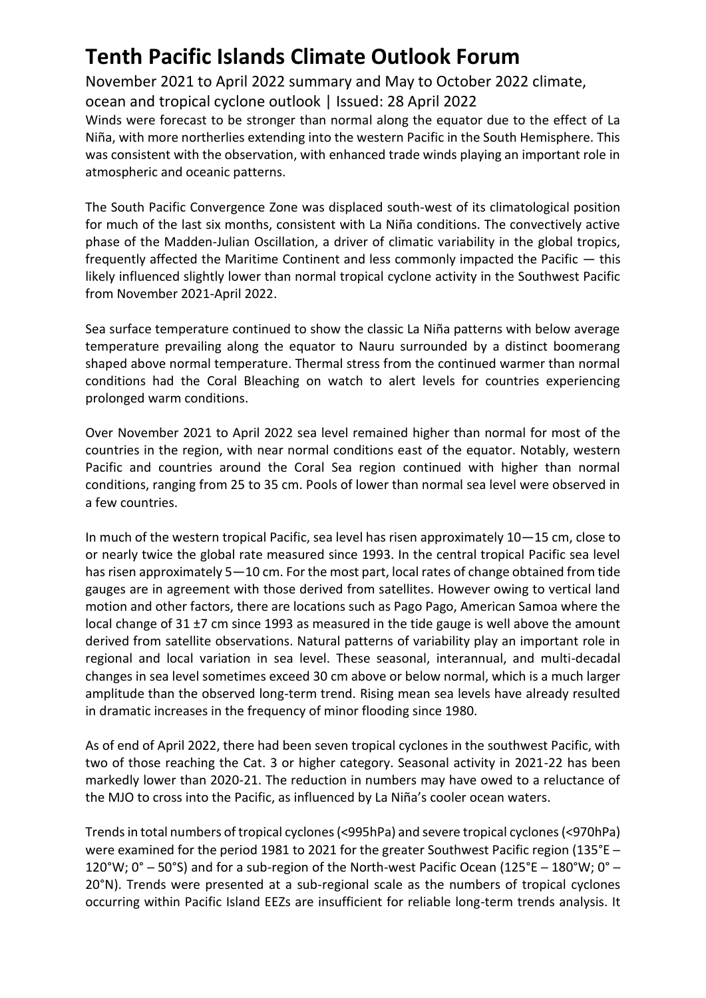November 2021 to April 2022 summary and May to October 2022 climate,

ocean and tropical cyclone outlook | Issued: 28 April 2022

Winds were forecast to be stronger than normal along the equator due to the effect of La Niña, with more northerlies extending into the western Pacific in the South Hemisphere. This was consistent with the observation, with enhanced trade winds playing an important role in atmospheric and oceanic patterns.

The South Pacific Convergence Zone was displaced south-west of its climatological position for much of the last six months, consistent with La Niña conditions. The convectively active phase of the Madden-Julian Oscillation, a driver of climatic variability in the global tropics, frequently affected the Maritime Continent and less commonly impacted the Pacific — this likely influenced slightly lower than normal tropical cyclone activity in the Southwest Pacific from November 2021-April 2022.

Sea surface temperature continued to show the classic La Niña patterns with below average temperature prevailing along the equator to Nauru surrounded by a distinct boomerang shaped above normal temperature. Thermal stress from the continued warmer than normal conditions had the Coral Bleaching on watch to alert levels for countries experiencing prolonged warm conditions.

Over November 2021 to April 2022 sea level remained higher than normal for most of the countries in the region, with near normal conditions east of the equator. Notably, western Pacific and countries around the Coral Sea region continued with higher than normal conditions, ranging from 25 to 35 cm. Pools of lower than normal sea level were observed in a few countries.

In much of the western tropical Pacific, sea level has risen approximately 10—15 cm, close to or nearly twice the global rate measured since 1993. In the central tropical Pacific sea level has risen approximately 5—10 cm. For the most part, local rates of change obtained from tide gauges are in agreement with those derived from satellites. However owing to vertical land motion and other factors, there are locations such as Pago Pago, American Samoa where the local change of 31 ±7 cm since 1993 as measured in the tide gauge is well above the amount derived from satellite observations. Natural patterns of variability play an important role in regional and local variation in sea level. These seasonal, interannual, and multi-decadal changes in sea level sometimes exceed 30 cm above or below normal, which is a much larger amplitude than the observed long-term trend. Rising mean sea levels have already resulted in dramatic increases in the frequency of minor flooding since 1980.

As of end of April 2022, there had been seven tropical cyclones in the southwest Pacific, with two of those reaching the Cat. 3 or higher category. Seasonal activity in 2021-22 has been markedly lower than 2020-21. The reduction in numbers may have owed to a reluctance of the MJO to cross into the Pacific, as influenced by La Niña's cooler ocean waters.

Trends in total numbers of tropical cyclones (<995hPa) and severe tropical cyclones (<970hPa) were examined for the period 1981 to 2021 for the greater Southwest Pacific region (135°E – 120°W;  $0^\circ$  – 50°S) and for a sub-region of the North-west Pacific Ocean (125°E – 180°W;  $0^\circ$  – 20°N). Trends were presented at a sub-regional scale as the numbers of tropical cyclones occurring within Pacific Island EEZs are insufficient for reliable long-term trends analysis. It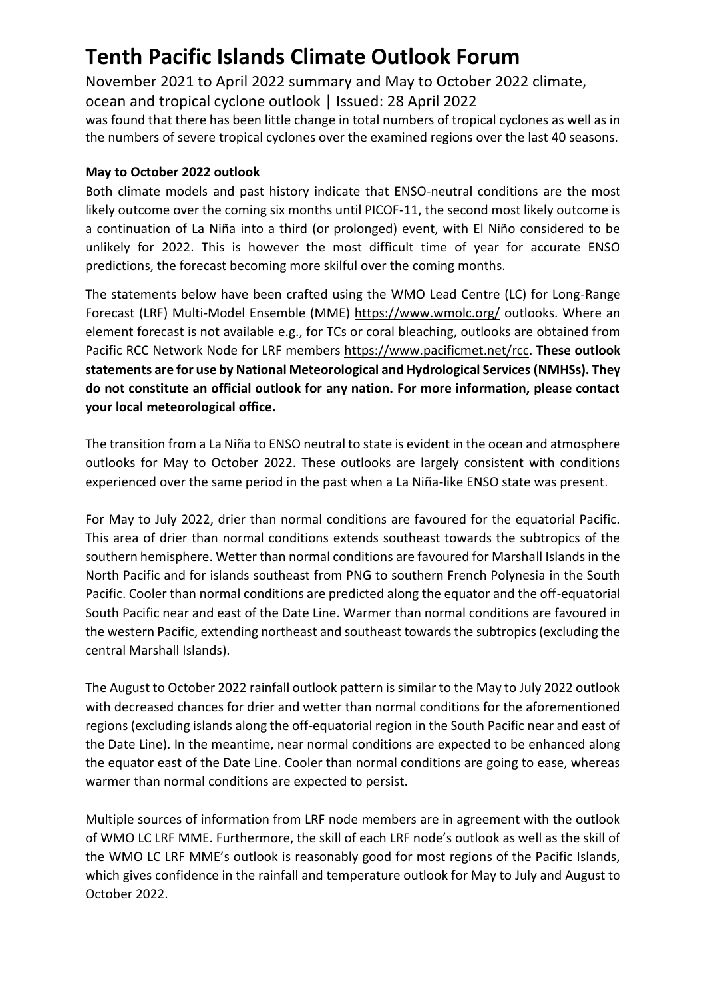November 2021 to April 2022 summary and May to October 2022 climate, ocean and tropical cyclone outlook | Issued: 28 April 2022

was found that there has been little change in total numbers of tropical cyclones as well as in the numbers of severe tropical cyclones over the examined regions over the last 40 seasons.

### **May to October 2022 outlook**

Both climate models and past history indicate that ENSO-neutral conditions are the most likely outcome over the coming six months until PICOF-11, the second most likely outcome is a continuation of La Niña into a third (or prolonged) event, with El Niño considered to be unlikely for 2022. This is however the most difficult time of year for accurate ENSO predictions, the forecast becoming more skilful over the coming months.

The statements below have been crafted using the WMO Lead Centre (LC) for Long-Range Forecast (LRF) Multi-Model Ensemble (MME)<https://www.wmolc.org/> outlooks. Where an element forecast is not available e.g., for TCs or coral bleaching, outlooks are obtained from Pacific RCC Network Node for LRF members [https://www.pacificmet.net/rcc.](https://www.pacificmet.net/rcc) **These outlook statements are for use by National Meteorological and Hydrological Services (NMHSs). They do not constitute an official outlook for any nation. For more information, please contact your local meteorological office.**

The transition from a La Niña to ENSO neutral to state is evident in the ocean and atmosphere outlooks for May to October 2022. These outlooks are largely consistent with conditions experienced over the same period in the past when a La Niña-like ENSO state was present.

For May to July 2022, drier than normal conditions are favoured for the equatorial Pacific. This area of drier than normal conditions extends southeast towards the subtropics of the southern hemisphere. Wetter than normal conditions are favoured for Marshall Islands in the North Pacific and for islands southeast from PNG to southern French Polynesia in the South Pacific. Cooler than normal conditions are predicted along the equator and the off-equatorial South Pacific near and east of the Date Line. Warmer than normal conditions are favoured in the western Pacific, extending northeast and southeast towards the subtropics (excluding the central Marshall Islands).

The August to October 2022 rainfall outlook pattern is similar to the May to July 2022 outlook with decreased chances for drier and wetter than normal conditions for the aforementioned regions (excluding islands along the off-equatorial region in the South Pacific near and east of the Date Line). In the meantime, near normal conditions are expected to be enhanced along the equator east of the Date Line. Cooler than normal conditions are going to ease, whereas warmer than normal conditions are expected to persist.

Multiple sources of information from LRF node members are in agreement with the outlook of WMO LC LRF MME. Furthermore, the skill of each LRF node's outlook as well as the skill of the WMO LC LRF MME's outlook is reasonably good for most regions of the Pacific Islands, which gives confidence in the rainfall and temperature outlook for May to July and August to October 2022.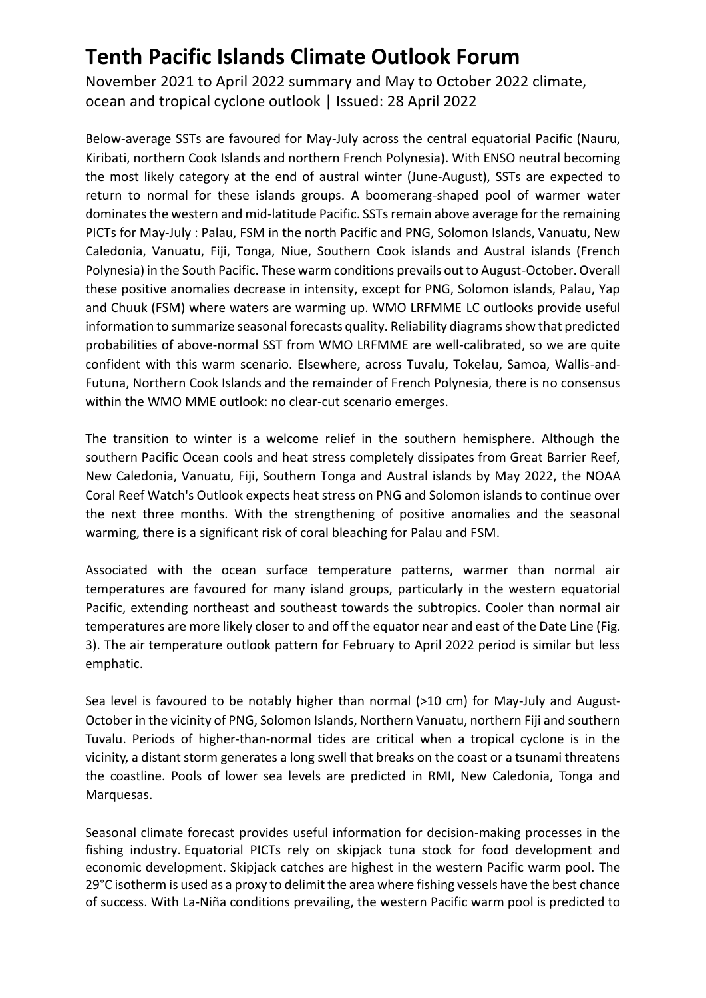November 2021 to April 2022 summary and May to October 2022 climate, ocean and tropical cyclone outlook | Issued: 28 April 2022

Below-average SSTs are favoured for May-July across the central equatorial Pacific (Nauru, Kiribati, northern Cook Islands and northern French Polynesia). With ENSO neutral becoming the most likely category at the end of austral winter (June-August), SSTs are expected to return to normal for these islands groups. A boomerang-shaped pool of warmer water dominates the western and mid-latitude Pacific. SSTs remain above average for the remaining PICTs for May-July : Palau, FSM in the north Pacific and PNG, Solomon Islands, Vanuatu, New Caledonia, Vanuatu, Fiji, Tonga, Niue, Southern Cook islands and Austral islands (French Polynesia) in the South Pacific. These warm conditions prevails out to August-October. Overall these positive anomalies decrease in intensity, except for PNG, Solomon islands, Palau, Yap and Chuuk (FSM) where waters are warming up. WMO LRFMME LC outlooks provide useful information to summarize seasonal forecasts quality. Reliability diagrams show that predicted probabilities of above-normal SST from WMO LRFMME are well-calibrated, so we are quite confident with this warm scenario. Elsewhere, across Tuvalu, Tokelau, Samoa, Wallis-and-Futuna, Northern Cook Islands and the remainder of French Polynesia, there is no consensus within the WMO MME outlook: no clear-cut scenario emerges.

The transition to winter is a welcome relief in the southern hemisphere. Although the southern Pacific Ocean cools and heat stress completely dissipates from Great Barrier Reef, New Caledonia, Vanuatu, Fiji, Southern Tonga and Austral islands by May 2022, the NOAA Coral Reef Watch's Outlook expects heat stress on PNG and Solomon islands to continue over the next three months. With the strengthening of positive anomalies and the seasonal warming, there is a significant risk of coral bleaching for Palau and FSM.

Associated with the ocean surface temperature patterns, warmer than normal air temperatures are favoured for many island groups, particularly in the western equatorial Pacific, extending northeast and southeast towards the subtropics. Cooler than normal air temperatures are more likely closer to and off the equator near and east of the Date Line (Fig. 3). The air temperature outlook pattern for February to April 2022 period is similar but less emphatic.

Sea level is favoured to be notably higher than normal (>10 cm) for May-July and August-October in the vicinity of PNG, Solomon Islands, Northern Vanuatu, northern Fiji and southern Tuvalu. Periods of higher-than-normal tides are critical when a tropical cyclone is in the vicinity, a distant storm generates a long swell that breaks on the coast or a tsunami threatens the coastline. Pools of lower sea levels are predicted in RMI, New Caledonia, Tonga and Marquesas.

Seasonal climate forecast provides useful information for decision-making processes in the fishing industry. Equatorial PICTs rely on skipjack tuna stock for food development and economic development. Skipjack catches are highest in the western Pacific warm pool. The 29°C isotherm is used as a proxy to delimit the area where fishing vessels have the best chance of success. With La-Niña conditions prevailing, the western Pacific warm pool is predicted to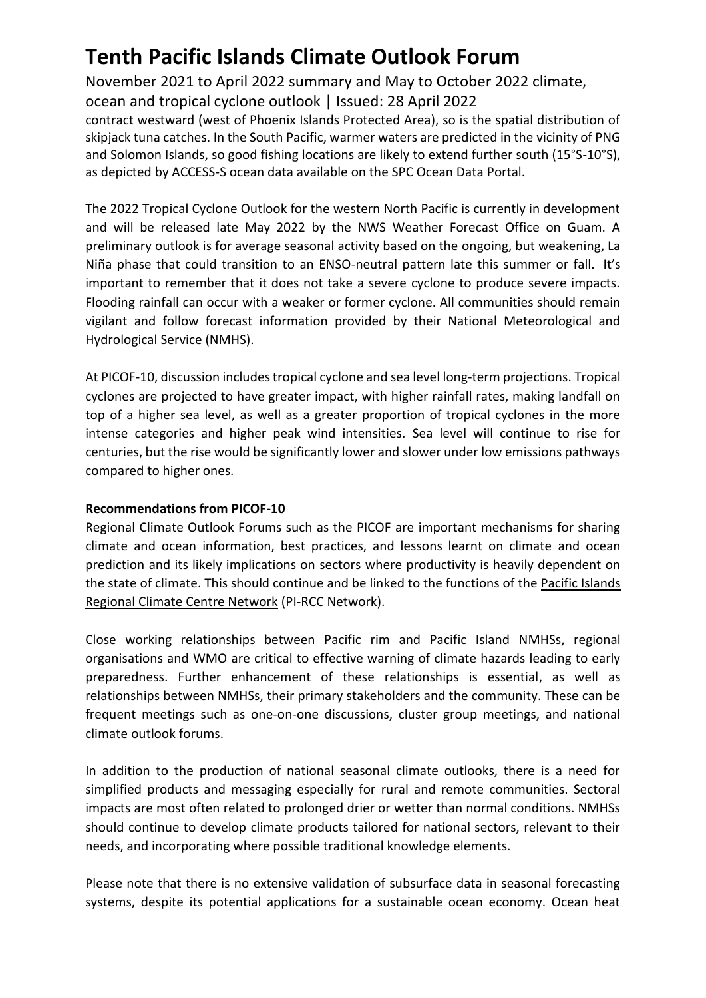November 2021 to April 2022 summary and May to October 2022 climate,

ocean and tropical cyclone outlook | Issued: 28 April 2022

contract westward (west of Phoenix Islands Protected Area), so is the spatial distribution of skipjack tuna catches. In the South Pacific, warmer waters are predicted in the vicinity of PNG and Solomon Islands, so good fishing locations are likely to extend further south (15°S-10°S), as depicted by ACCESS-S ocean data available on the SPC Ocean Data Portal.

The 2022 Tropical Cyclone Outlook for the western North Pacific is currently in development and will be released late May 2022 by the NWS Weather Forecast Office on Guam. A preliminary outlook is for average seasonal activity based on the ongoing, but weakening, La Niña phase that could transition to an ENSO-neutral pattern late this summer or fall. It's important to remember that it does not take a severe cyclone to produce severe impacts. Flooding rainfall can occur with a weaker or former cyclone. All communities should remain vigilant and follow forecast information provided by their National Meteorological and Hydrological Service (NMHS).

At PICOF-10, discussion includes tropical cyclone and sea level long-term projections. Tropical cyclones are projected to have greater impact, with higher rainfall rates, making landfall on top of a higher sea level, as well as a greater proportion of tropical cyclones in the more intense categories and higher peak wind intensities. Sea level will continue to rise for centuries, but the rise would be significantly lower and slower under low emissions pathways compared to higher ones.

### **Recommendations from PICOF-10**

Regional Climate Outlook Forums such as the PICOF are important mechanisms for sharing climate and ocean information, best practices, and lessons learnt on climate and ocean prediction and its likely implications on sectors where productivity is heavily dependent on the state of climate. This should continue and be linked to the functions of the Pacific Islands [Regional Climate Centre Network](https://www.pacificmet.net/rcc) (PI-RCC Network).

Close working relationships between Pacific rim and Pacific Island NMHSs, regional organisations and WMO are critical to effective warning of climate hazards leading to early preparedness. Further enhancement of these relationships is essential, as well as relationships between NMHSs, their primary stakeholders and the community. These can be frequent meetings such as one-on-one discussions, cluster group meetings, and national climate outlook forums.

In addition to the production of national seasonal climate outlooks, there is a need for simplified products and messaging especially for rural and remote communities. Sectoral impacts are most often related to prolonged drier or wetter than normal conditions. NMHSs should continue to develop climate products tailored for national sectors, relevant to their needs, and incorporating where possible traditional knowledge elements.

Please note that there is no extensive validation of subsurface data in seasonal forecasting systems, despite its potential applications for a sustainable ocean economy. Ocean heat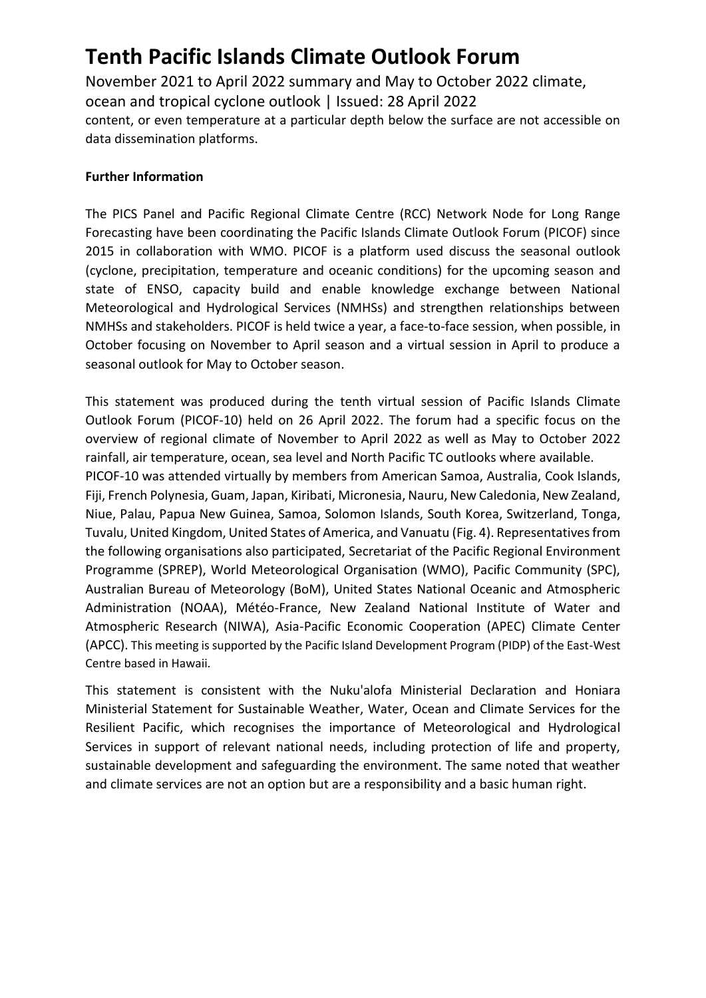November 2021 to April 2022 summary and May to October 2022 climate, ocean and tropical cyclone outlook | Issued: 28 April 2022 content, or even temperature at a particular depth below the surface are not accessible on data dissemination platforms.

### **Further Information**

The PICS Panel and Pacific Regional Climate Centre (RCC) Network Node for Long Range Forecasting have been coordinating the Pacific Islands Climate Outlook Forum (PICOF) since 2015 in collaboration with WMO. PICOF is a platform used discuss the seasonal outlook (cyclone, precipitation, temperature and oceanic conditions) for the upcoming season and state of ENSO, capacity build and enable knowledge exchange between National Meteorological and Hydrological Services (NMHSs) and strengthen relationships between NMHSs and stakeholders. PICOF is held twice a year, a face-to-face session, when possible, in October focusing on November to April season and a virtual session in April to produce a seasonal outlook for May to October season.

This statement was produced during the tenth virtual session of Pacific Islands Climate Outlook Forum (PICOF-10) held on 26 April 2022. The forum had a specific focus on the overview of regional climate of November to April 2022 as well as May to October 2022 rainfall, air temperature, ocean, sea level and North Pacific TC outlooks where available. PICOF-10 was attended virtually by members from American Samoa, Australia, Cook Islands, Fiji, French Polynesia, Guam, Japan, Kiribati, Micronesia, Nauru, New Caledonia, New Zealand, Niue, Palau, Papua New Guinea, Samoa, Solomon Islands, South Korea, Switzerland, Tonga, Tuvalu, United Kingdom, United States of America, and Vanuatu (Fig. 4). Representatives from the following organisations also participated, Secretariat of the Pacific Regional Environment Programme (SPREP), World Meteorological Organisation (WMO), Pacific Community (SPC), Australian Bureau of Meteorology (BoM), United States National Oceanic and Atmospheric Administration (NOAA), Météo-France, New Zealand National Institute of Water and Atmospheric Research (NIWA), Asia-Pacific Economic Cooperation (APEC) Climate Center (APCC). This meeting is supported by the Pacific Island Development Program (PIDP) of the East-West Centre based in Hawaii.

This statement is consistent with the Nuku'alofa Ministerial Declaration and Honiara Ministerial Statement for Sustainable Weather, Water, Ocean and Climate Services for the Resilient Pacific, which recognises the importance of Meteorological and Hydrological Services in support of relevant national needs, including protection of life and property, sustainable development and safeguarding the environment. The same noted that weather and climate services are not an option but are a responsibility and a basic human right.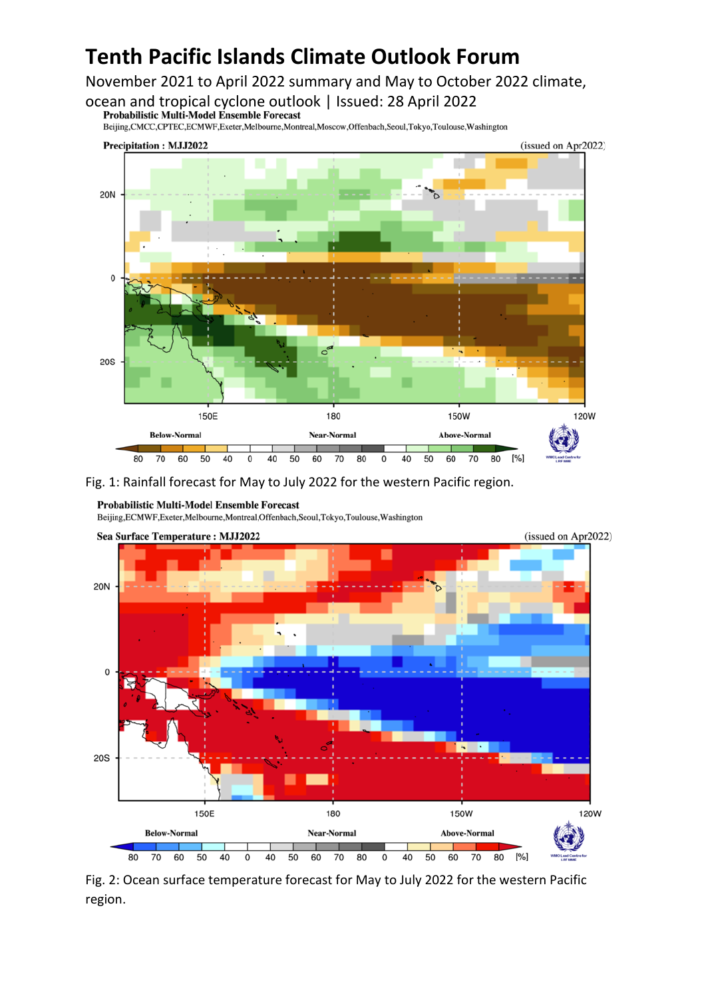November 2021 to April 2022 summary and May to October 2022 climate,

ocean and tropical cyclone outlook | Issued: 28 April 2022

Beijing,CMCC,CPTEC,ECMWF,Exeter,Melbourne,Montreal,Moscow,Offenbach,Seoul,Tokyo,Toulouse,Washington



Fig. 1: Rainfall forecast for May to July 2022 for the western Pacific region.

Beijing, ECMWF, Exeter, Melbourne, Montreal, Offenbach, Seoul, Tokyo, Toulouse, Washington



Fig. 2: Ocean surface temperature forecast for May to July 2022 for the western Pacific region.

**Probabilistic Multi-Model Ensemble Forecast**